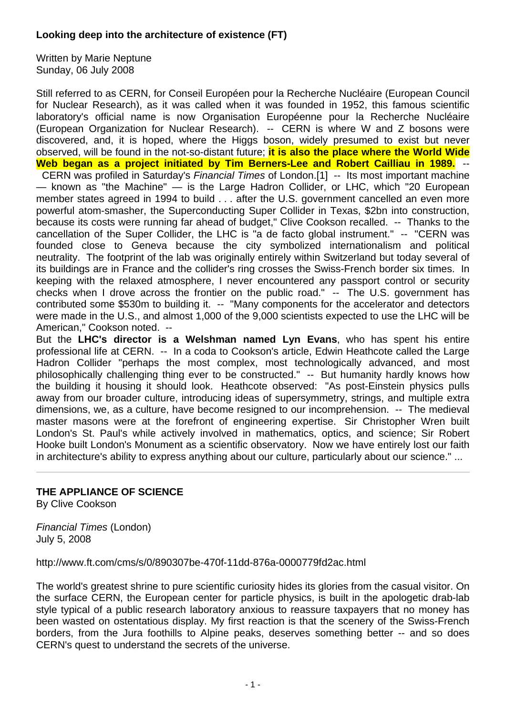## **Looking deep into the architecture of existence (FT)**

Written by Marie Neptune Sunday, 06 July 2008

Still referred to as CERN, for Conseil Européen pour la Recherche Nucléaire (European Council for Nuclear Research), as it was called when it was founded in 1952, this famous scientific laboratory's official name is now Organisation Européenne pour la Recherche Nucléaire (European Organization for Nuclear Research). -- CERN is where W and Z bosons were discovered, and, it is hoped, where the Higgs boson, widely presumed to exist but never observed, will be found in the not-so-distant future; **it is also the place where the World Wide Web began as a project initiated by Tim Berners-Lee and Robert Cailliau in 1989.** -- CERN was profiled in Saturday's *Financial Times* of London.[1] -- Its most important machine — known as "the Machine" — is the Large Hadron Collider, or LHC, which "20 European member states agreed in 1994 to build . . . after the U.S. government cancelled an even more powerful atom-smasher, the Superconducting Super Collider in Texas, \$2bn into construction, because its costs were running far ahead of budget," Clive Cookson recalled. -- Thanks to the cancellation of the Super Collider, the LHC is "a de facto global instrument." -- "CERN was founded close to Geneva because the city symbolized internationalism and political neutrality. The footprint of the lab was originally entirely within Switzerland but today several of its buildings are in France and the collider's ring crosses the Swiss-French border six times. In keeping with the relaxed atmosphere, I never encountered any passport control or security checks when I drove across the frontier on the public road." -- The U.S. government has contributed some \$530m to building it. -- "Many components for the accelerator and detectors were made in the U.S., and almost 1,000 of the 9,000 scientists expected to use the LHC will be American," Cookson noted. --

But the **LHC's director is a Welshman named Lyn Evans**, who has spent his entire professional life at CERN. -- In a coda to Cookson's article, Edwin Heathcote called the Large Hadron Collider "perhaps the most complex, most technologically advanced, and most philosophically challenging thing ever to be constructed." -- But humanity hardly knows how the building it housing it should look. Heathcote observed: "As post-Einstein physics pulls away from our broader culture, introducing ideas of supersymmetry, strings, and multiple extra dimensions, we, as a culture, have become resigned to our incomprehension. -- The medieval master masons were at the forefront of engineering expertise. Sir Christopher Wren built London's St. Paul's while actively involved in mathematics, optics, and science; Sir Robert Hooke built London's Monument as a scientific observatory. Now we have entirely lost our faith in architecture's ability to express anything about our culture, particularly about our science." ...

## **THE APPLIANCE OF SCIENCE**

By Clive Cookson

*Financial Times* (London) July 5, 2008

http://www.ft.com/cms/s/0/890307be-470f-11dd-876a-0000779fd2ac.html

The world's greatest shrine to pure scientific curiosity hides its glories from the casual visitor. On the surface CERN, the European center for particle physics, is built in the apologetic drab-lab style typical of a public research laboratory anxious to reassure taxpayers that no money has been wasted on ostentatious display. My first reaction is that the scenery of the Swiss-French borders, from the Jura foothills to Alpine peaks, deserves something better -- and so does CERN's quest to understand the secrets of the universe.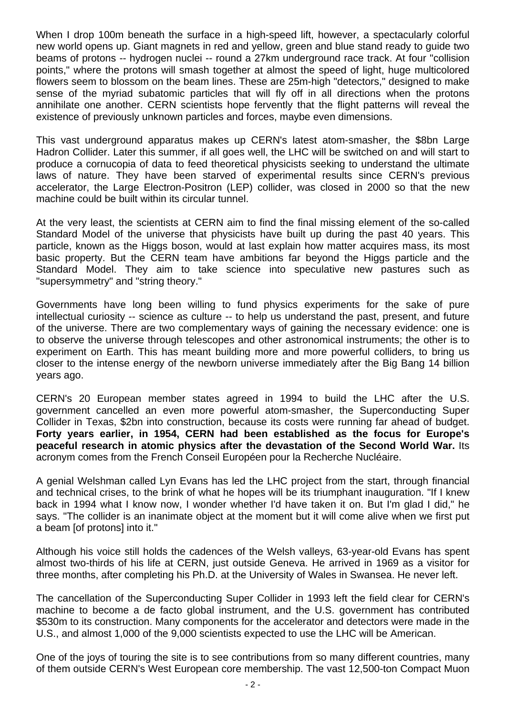When I drop 100m beneath the surface in a high-speed lift, however, a spectacularly colorful new world opens up. Giant magnets in red and yellow, green and blue stand ready to guide two beams of protons -- hydrogen nuclei -- round a 27km underground race track. At four "collision points," where the protons will smash together at almost the speed of light, huge multicolored flowers seem to blossom on the beam lines. These are 25m-high "detectors," designed to make sense of the myriad subatomic particles that will fly off in all directions when the protons annihilate one another. CERN scientists hope fervently that the flight patterns will reveal the existence of previously unknown particles and forces, maybe even dimensions.

This vast underground apparatus makes up CERN's latest atom-smasher, the \$8bn Large Hadron Collider. Later this summer, if all goes well, the LHC will be switched on and will start to produce a cornucopia of data to feed theoretical physicists seeking to understand the ultimate laws of nature. They have been starved of experimental results since CERN's previous accelerator, the Large Electron-Positron (LEP) collider, was closed in 2000 so that the new machine could be built within its circular tunnel.

At the very least, the scientists at CERN aim to find the final missing element of the so-called Standard Model of the universe that physicists have built up during the past 40 years. This particle, known as the Higgs boson, would at last explain how matter acquires mass, its most basic property. But the CERN team have ambitions far beyond the Higgs particle and the Standard Model. They aim to take science into speculative new pastures such as "supersymmetry" and "string theory."

Governments have long been willing to fund physics experiments for the sake of pure intellectual curiosity -- science as culture -- to help us understand the past, present, and future of the universe. There are two complementary ways of gaining the necessary evidence: one is to observe the universe through telescopes and other astronomical instruments; the other is to experiment on Earth. This has meant building more and more powerful colliders, to bring us closer to the intense energy of the newborn universe immediately after the Big Bang 14 billion years ago.

CERN's 20 European member states agreed in 1994 to build the LHC after the U.S. government cancelled an even more powerful atom-smasher, the Superconducting Super Collider in Texas, \$2bn into construction, because its costs were running far ahead of budget. **Forty years earlier, in 1954, CERN had been established as the focus for Europe's peaceful research in atomic physics after the devastation of the Second World War.** Its acronym comes from the French Conseil Européen pour la Recherche Nucléaire.

A genial Welshman called Lyn Evans has led the LHC project from the start, through financial and technical crises, to the brink of what he hopes will be its triumphant inauguration. "If I knew back in 1994 what I know now, I wonder whether I'd have taken it on. But I'm glad I did," he says. "The collider is an inanimate object at the moment but it will come alive when we first put a beam [of protons] into it."

Although his voice still holds the cadences of the Welsh valleys, 63-year-old Evans has spent almost two-thirds of his life at CERN, just outside Geneva. He arrived in 1969 as a visitor for three months, after completing his Ph.D. at the University of Wales in Swansea. He never left.

The cancellation of the Superconducting Super Collider in 1993 left the field clear for CERN's machine to become a de facto global instrument, and the U.S. government has contributed \$530m to its construction. Many components for the accelerator and detectors were made in the U.S., and almost 1,000 of the 9,000 scientists expected to use the LHC will be American.

One of the joys of touring the site is to see contributions from so many different countries, many of them outside CERN's West European core membership. The vast 12,500-ton Compact Muon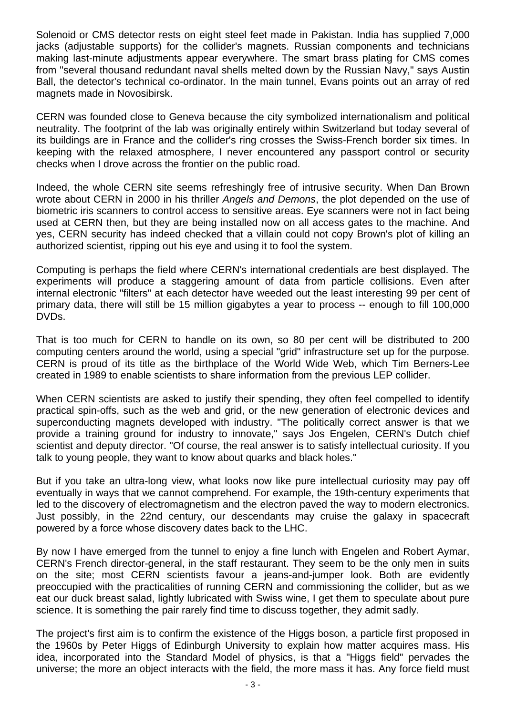Solenoid or CMS detector rests on eight steel feet made in Pakistan. India has supplied 7,000 jacks (adjustable supports) for the collider's magnets. Russian components and technicians making last-minute adjustments appear everywhere. The smart brass plating for CMS comes from "several thousand redundant naval shells melted down by the Russian Navy," says Austin Ball, the detector's technical co-ordinator. In the main tunnel, Evans points out an array of red magnets made in Novosibirsk.

CERN was founded close to Geneva because the city symbolized internationalism and political neutrality. The footprint of the lab was originally entirely within Switzerland but today several of its buildings are in France and the collider's ring crosses the Swiss-French border six times. In keeping with the relaxed atmosphere, I never encountered any passport control or security checks when I drove across the frontier on the public road.

Indeed, the whole CERN site seems refreshingly free of intrusive security. When Dan Brown wrote about CERN in 2000 in his thriller *Angels and Demons*, the plot depended on the use of biometric iris scanners to control access to sensitive areas. Eye scanners were not in fact being used at CERN then, but they are being installed now on all access gates to the machine. And yes, CERN security has indeed checked that a villain could not copy Brown's plot of killing an authorized scientist, ripping out his eye and using it to fool the system.

Computing is perhaps the field where CERN's international credentials are best displayed. The experiments will produce a staggering amount of data from particle collisions. Even after internal electronic "filters" at each detector have weeded out the least interesting 99 per cent of primary data, there will still be 15 million gigabytes a year to process -- enough to fill 100,000 DVDs.

That is too much for CERN to handle on its own, so 80 per cent will be distributed to 200 computing centers around the world, using a special "grid" infrastructure set up for the purpose. CERN is proud of its title as the birthplace of the World Wide Web, which Tim Berners-Lee created in 1989 to enable scientists to share information from the previous LEP collider.

When CERN scientists are asked to justify their spending, they often feel compelled to identify practical spin-offs, such as the web and grid, or the new generation of electronic devices and superconducting magnets developed with industry. "The politically correct answer is that we provide a training ground for industry to innovate," says Jos Engelen, CERN's Dutch chief scientist and deputy director. "Of course, the real answer is to satisfy intellectual curiosity. If you talk to young people, they want to know about quarks and black holes."

But if you take an ultra-long view, what looks now like pure intellectual curiosity may pay off eventually in ways that we cannot comprehend. For example, the 19th-century experiments that led to the discovery of electromagnetism and the electron paved the way to modern electronics. Just possibly, in the 22nd century, our descendants may cruise the galaxy in spacecraft powered by a force whose discovery dates back to the LHC.

By now I have emerged from the tunnel to enjoy a fine lunch with Engelen and Robert Aymar, CERN's French director-general, in the staff restaurant. They seem to be the only men in suits on the site; most CERN scientists favour a jeans-and-jumper look. Both are evidently preoccupied with the practicalities of running CERN and commissioning the collider, but as we eat our duck breast salad, lightly lubricated with Swiss wine, I get them to speculate about pure science. It is something the pair rarely find time to discuss together, they admit sadly.

The project's first aim is to confirm the existence of the Higgs boson, a particle first proposed in the 1960s by Peter Higgs of Edinburgh University to explain how matter acquires mass. His idea, incorporated into the Standard Model of physics, is that a "Higgs field" pervades the universe; the more an object interacts with the field, the more mass it has. Any force field must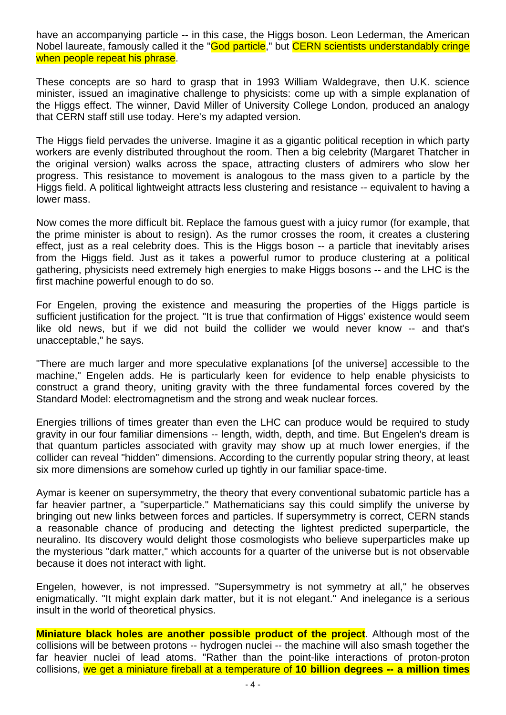have an accompanying particle -- in this case, the Higgs boson. Leon Lederman, the American Nobel laureate, famously called it the "God particle," but CERN scientists understandably cringe when people repeat his phrase.

These concepts are so hard to grasp that in 1993 William Waldegrave, then U.K. science minister, issued an imaginative challenge to physicists: come up with a simple explanation of the Higgs effect. The winner, David Miller of University College London, produced an analogy that CERN staff still use today. Here's my adapted version.

The Higgs field pervades the universe. Imagine it as a gigantic political reception in which party workers are evenly distributed throughout the room. Then a big celebrity (Margaret Thatcher in the original version) walks across the space, attracting clusters of admirers who slow her progress. This resistance to movement is analogous to the mass given to a particle by the Higgs field. A political lightweight attracts less clustering and resistance -- equivalent to having a lower mass.

Now comes the more difficult bit. Replace the famous guest with a juicy rumor (for example, that the prime minister is about to resign). As the rumor crosses the room, it creates a clustering effect, just as a real celebrity does. This is the Higgs boson -- a particle that inevitably arises from the Higgs field. Just as it takes a powerful rumor to produce clustering at a political gathering, physicists need extremely high energies to make Higgs bosons -- and the LHC is the first machine powerful enough to do so.

For Engelen, proving the existence and measuring the properties of the Higgs particle is sufficient justification for the project. "It is true that confirmation of Higgs' existence would seem like old news, but if we did not build the collider we would never know -- and that's unacceptable," he says.

"There are much larger and more speculative explanations [of the universe] accessible to the machine," Engelen adds. He is particularly keen for evidence to help enable physicists to construct a grand theory, uniting gravity with the three fundamental forces covered by the Standard Model: electromagnetism and the strong and weak nuclear forces.

Energies trillions of times greater than even the LHC can produce would be required to study gravity in our four familiar dimensions -- length, width, depth, and time. But Engelen's dream is that quantum particles associated with gravity may show up at much lower energies, if the collider can reveal "hidden" dimensions. According to the currently popular string theory, at least six more dimensions are somehow curled up tightly in our familiar space-time.

Aymar is keener on supersymmetry, the theory that every conventional subatomic particle has a far heavier partner, a "superparticle." Mathematicians say this could simplify the universe by bringing out new links between forces and particles. If supersymmetry is correct, CERN stands a reasonable chance of producing and detecting the lightest predicted superparticle, the neuralino. Its discovery would delight those cosmologists who believe superparticles make up the mysterious "dark matter," which accounts for a quarter of the universe but is not observable because it does not interact with light.

Engelen, however, is not impressed. "Supersymmetry is not symmetry at all," he observes enigmatically. "It might explain dark matter, but it is not elegant." And inelegance is a serious insult in the world of theoretical physics.

**Miniature black holes are another possible product of the project**. Although most of the collisions will be between protons -- hydrogen nuclei -- the machine will also smash together the far heavier nuclei of lead atoms. "Rather than the point-like interactions of proton-proton collisions, we get a miniature fireball at a temperature of **10 billion degrees -- a million times**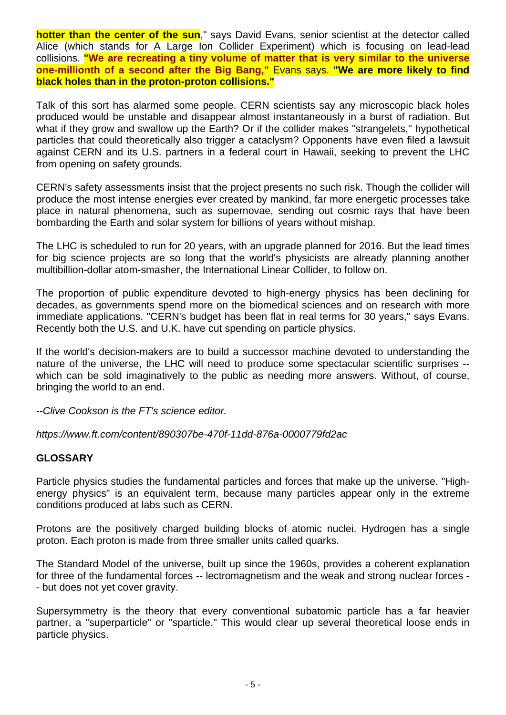**hotter than the center of the sun**," says David Evans, senior scientist at the detector called Alice (which stands for A Large Ion Collider Experiment) which is focusing on lead-lead collisions. **"We are recreating a tiny volume of matter that is very similar to the universe one-millionth of a second after the Big Bang,"** Evans says. **"We are more likely to find black holes than in the proton-proton collisions."** 

Talk of this sort has alarmed some people. CERN scientists say any microscopic black holes produced would be unstable and disappear almost instantaneously in a burst of radiation. But what if they grow and swallow up the Earth? Or if the collider makes "strangelets," hypothetical particles that could theoretically also trigger a cataclysm? Opponents have even filed a lawsuit against CERN and its U.S. partners in a federal court in Hawaii, seeking to prevent the LHC from opening on safety grounds.

CERN's safety assessments insist that the project presents no such risk. Though the collider will produce the most intense energies ever created by mankind, far more energetic processes take place in natural phenomena, such as supernovae, sending out cosmic rays that have been bombarding the Earth and solar system for billions of years without mishap.

The LHC is scheduled to run for 20 years, with an upgrade planned for 2016. But the lead times for big science projects are so long that the world's physicists are already planning another multibillion-dollar atom-smasher, the International Linear Collider, to follow on.

The proportion of public expenditure devoted to high-energy physics has been declining for decades, as governments spend more on the biomedical sciences and on research with more immediate applications. "CERN's budget has been flat in real terms for 30 years," says Evans. Recently both the U.S. and U.K. have cut spending on particle physics.

If the world's decision-makers are to build a successor machine devoted to understanding the nature of the universe, the LHC will need to produce some spectacular scientific surprises - which can be sold imaginatively to the public as needing more answers. Without, of course, bringing the world to an end.

*--Clive Cookson is the FT's science editor.* 

*https://www.ft.com/content/890307be-470f-11dd-876a-0000779fd2ac*

## **GLOSSARY**

Particle physics studies the fundamental particles and forces that make up the universe. "Highenergy physics" is an equivalent term, because many particles appear only in the extreme conditions produced at labs such as CERN.

Protons are the positively charged building blocks of atomic nuclei. Hydrogen has a single proton. Each proton is made from three smaller units called quarks.

The Standard Model of the universe, built up since the 1960s, provides a coherent explanation for three of the fundamental forces -- lectromagnetism and the weak and strong nuclear forces - - but does not yet cover gravity.

Supersymmetry is the theory that every conventional subatomic particle has a far heavier partner, a "superparticle" or "sparticle." This would clear up several theoretical loose ends in particle physics.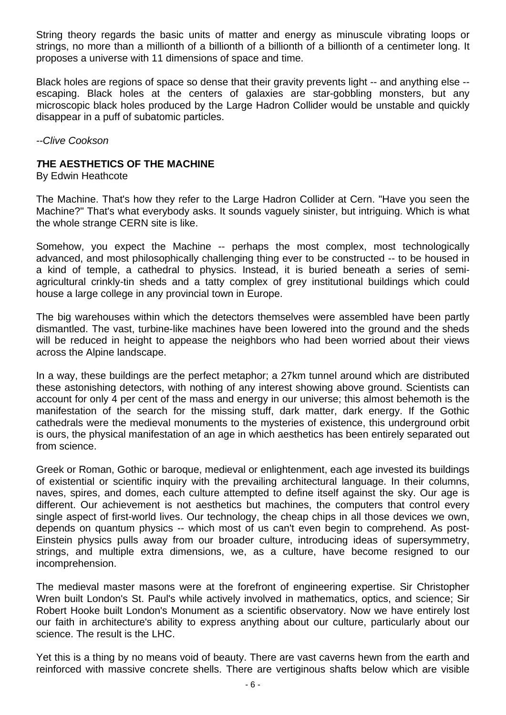String theory regards the basic units of matter and energy as minuscule vibrating loops or strings, no more than a millionth of a billionth of a billionth of a billionth of a centimeter long. It proposes a universe with 11 dimensions of space and time.

Black holes are regions of space so dense that their gravity prevents light -- and anything else -escaping. Black holes at the centers of galaxies are star-gobbling monsters, but any microscopic black holes produced by the Large Hadron Collider would be unstable and quickly disappear in a puff of subatomic particles.

*--Clive Cookson* 

## *T***HE AESTHETICS OF THE MACHINE**

By Edwin Heathcote

The Machine. That's how they refer to the Large Hadron Collider at Cern. "Have you seen the Machine?" That's what everybody asks. It sounds vaguely sinister, but intriguing. Which is what the whole strange CERN site is like.

Somehow, you expect the Machine -- perhaps the most complex, most technologically advanced, and most philosophically challenging thing ever to be constructed -- to be housed in a kind of temple, a cathedral to physics. Instead, it is buried beneath a series of semiagricultural crinkly-tin sheds and a tatty complex of grey institutional buildings which could house a large college in any provincial town in Europe.

The big warehouses within which the detectors themselves were assembled have been partly dismantled. The vast, turbine-like machines have been lowered into the ground and the sheds will be reduced in height to appease the neighbors who had been worried about their views across the Alpine landscape.

In a way, these buildings are the perfect metaphor; a 27km tunnel around which are distributed these astonishing detectors, with nothing of any interest showing above ground. Scientists can account for only 4 per cent of the mass and energy in our universe; this almost behemoth is the manifestation of the search for the missing stuff, dark matter, dark energy. If the Gothic cathedrals were the medieval monuments to the mysteries of existence, this underground orbit is ours, the physical manifestation of an age in which aesthetics has been entirely separated out from science.

Greek or Roman, Gothic or baroque, medieval or enlightenment, each age invested its buildings of existential or scientific inquiry with the prevailing architectural language. In their columns, naves, spires, and domes, each culture attempted to define itself against the sky. Our age is different. Our achievement is not aesthetics but machines, the computers that control every single aspect of first-world lives. Our technology, the cheap chips in all those devices we own, depends on quantum physics -- which most of us can't even begin to comprehend. As post-Einstein physics pulls away from our broader culture, introducing ideas of supersymmetry, strings, and multiple extra dimensions, we, as a culture, have become resigned to our incomprehension.

The medieval master masons were at the forefront of engineering expertise. Sir Christopher Wren built London's St. Paul's while actively involved in mathematics, optics, and science; Sir Robert Hooke built London's Monument as a scientific observatory. Now we have entirely lost our faith in architecture's ability to express anything about our culture, particularly about our science. The result is the LHC.

Yet this is a thing by no means void of beauty. There are vast caverns hewn from the earth and reinforced with massive concrete shells. There are vertiginous shafts below which are visible